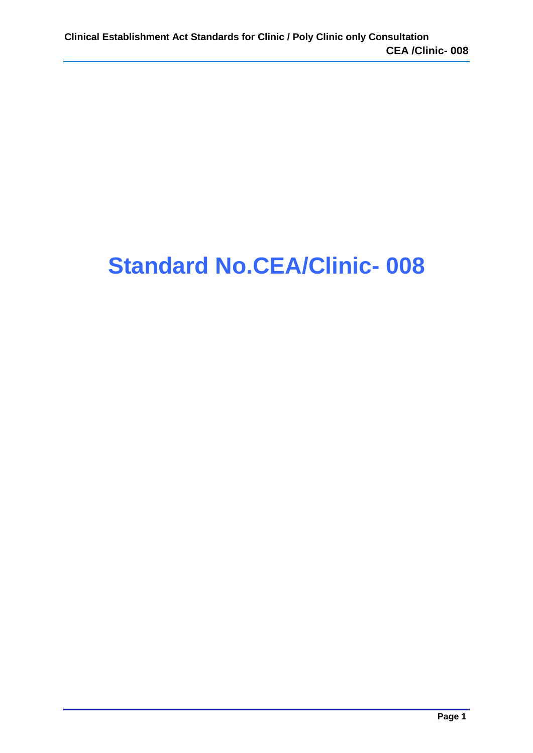## **Standard No.CEA/Clinic- 008**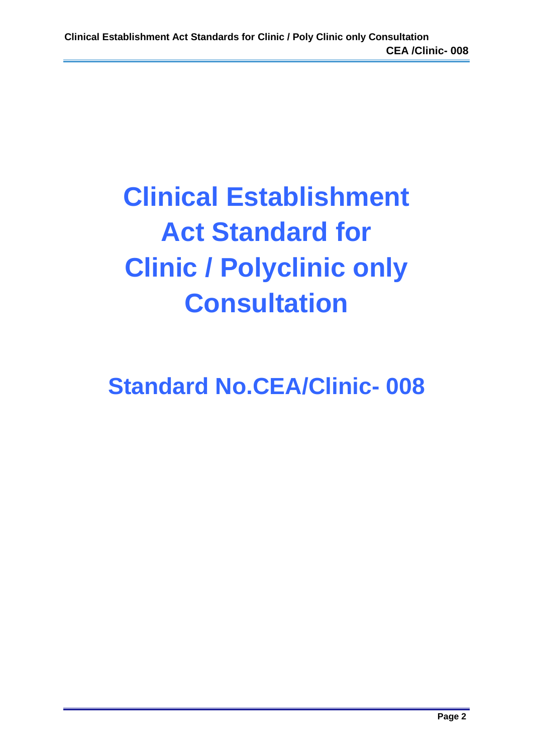# **Clinical Establishment Act Standard for Clinic / Polyclinic only Consultation**

## **Standard No.CEA/Clinic- 008**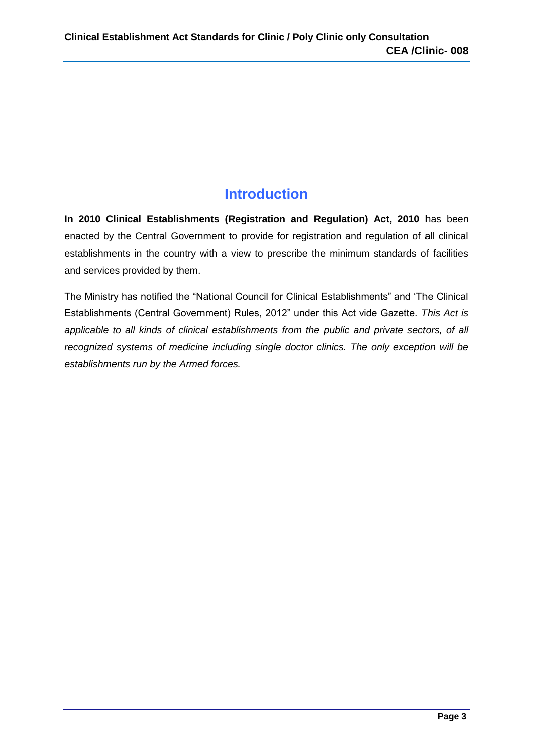## **Introduction**

**In 2010 Clinical Establishments (Registration and Regulation) Act, 2010** has been enacted by the Central Government to provide for registration and regulation of all clinical establishments in the country with a view to prescribe the minimum standards of facilities and services provided by them.

The Ministry has notified the "National Council for Clinical Establishments" and 'The Clinical Establishments (Central Government) Rules, 2012" under this Act vide Gazette. *This Act is applicable to all kinds of clinical establishments from the public and private sectors, of all recognized systems of medicine including single doctor clinics. The only exception will be establishments run by the Armed forces.*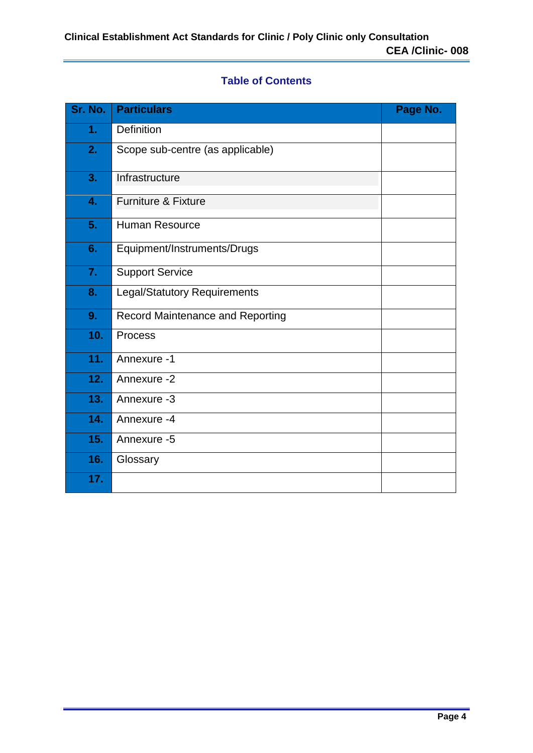#### **Table of Contents**

| Sr. No. | <b>Particulars</b>                  | Page No. |
|---------|-------------------------------------|----------|
| 1.      | <b>Definition</b>                   |          |
| 2.      | Scope sub-centre (as applicable)    |          |
| 3.      | Infrastructure                      |          |
| 4.      | <b>Furniture &amp; Fixture</b>      |          |
| 5.      | <b>Human Resource</b>               |          |
| 6.      | Equipment/Instruments/Drugs         |          |
| 7.      | <b>Support Service</b>              |          |
| 8.      | <b>Legal/Statutory Requirements</b> |          |
| 9.      | Record Maintenance and Reporting    |          |
| 10.     | <b>Process</b>                      |          |
| 11.     | Annexure -1                         |          |
| 12.     | Annexure -2                         |          |
| 13.     | Annexure -3                         |          |
| 14.     | Annexure -4                         |          |
| 15.     | Annexure -5                         |          |
| 16.     | Glossary                            |          |
| 17.     |                                     |          |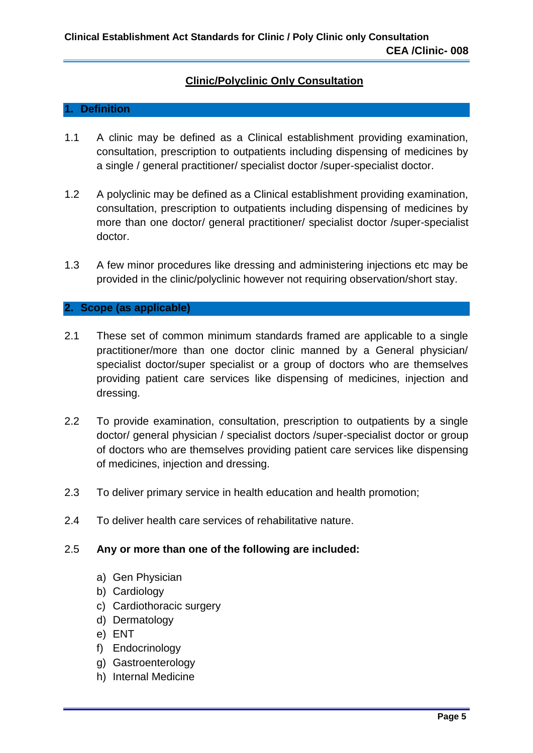#### **Clinic/Polyclinic Only Consultation**

#### **1. Definition**

- 1.1 A clinic may be defined as a Clinical establishment providing examination, consultation, prescription to outpatients including dispensing of medicines by a single / general practitioner/ specialist doctor /super-specialist doctor.
- 1.2 A polyclinic may be defined as a Clinical establishment providing examination, consultation, prescription to outpatients including dispensing of medicines by more than one doctor/ general practitioner/ specialist doctor /super-specialist doctor.
- 1.3 A few minor procedures like dressing and administering injections etc may be provided in the clinic/polyclinic however not requiring observation/short stay.

#### **2. Scope (as applicable)**

- 2.1 These set of common minimum standards framed are applicable to a single practitioner/more than one doctor clinic manned by a General physician/ specialist doctor/super specialist or a group of doctors who are themselves providing patient care services like dispensing of medicines, injection and dressing.
- 2.2 To provide examination, consultation, prescription to outpatients by a single doctor/ general physician / specialist doctors /super-specialist doctor or group of doctors who are themselves providing patient care services like dispensing of medicines, injection and dressing.
- 2.3 To deliver primary service in health education and health promotion;
- 2.4 To deliver health care services of rehabilitative nature.

#### 2.5 **Any or more than one of the following are included:**

- a) Gen Physician
- b) Cardiology
- c) Cardiothoracic surgery
- d) Dermatology
- e) ENT
- f) Endocrinology
- g) Gastroenterology
- h) Internal Medicine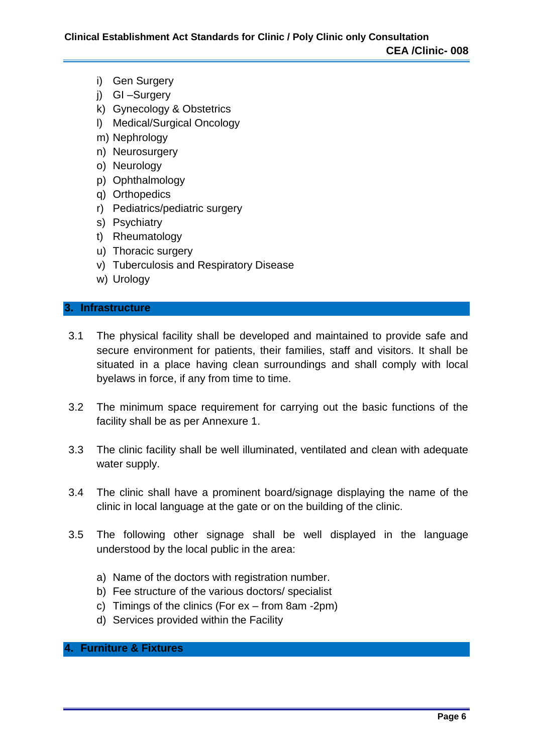- i) Gen Surgery
- j) GI –Surgery
- k) Gynecology & Obstetrics
- l) Medical/Surgical Oncology
- m) Nephrology
- n) Neurosurgery
- o) Neurology
- p) Ophthalmology
- q) Orthopedics
- r) Pediatrics/pediatric surgery
- s) Psychiatry
- t) Rheumatology
- u) Thoracic surgery
- v) Tuberculosis and Respiratory Disease
- w) Urology

#### **3. Infrastructure**

- 3.1 The physical facility shall be developed and maintained to provide safe and secure environment for patients, their families, staff and visitors. It shall be situated in a place having clean surroundings and shall comply with local byelaws in force, if any from time to time.
- 3.2 The minimum space requirement for carrying out the basic functions of the facility shall be as per Annexure 1.
- 3.3 The clinic facility shall be well illuminated, ventilated and clean with adequate water supply.
- 3.4 The clinic shall have a prominent board/signage displaying the name of the clinic in local language at the gate or on the building of the clinic.
- 3.5 The following other signage shall be well displayed in the language understood by the local public in the area:
	- a) Name of the doctors with registration number.
	- b) Fee structure of the various doctors/ specialist
	- c) Timings of the clinics (For ex from 8am -2pm)
	- d) Services provided within the Facility

#### **4. Furniture & Fixtures**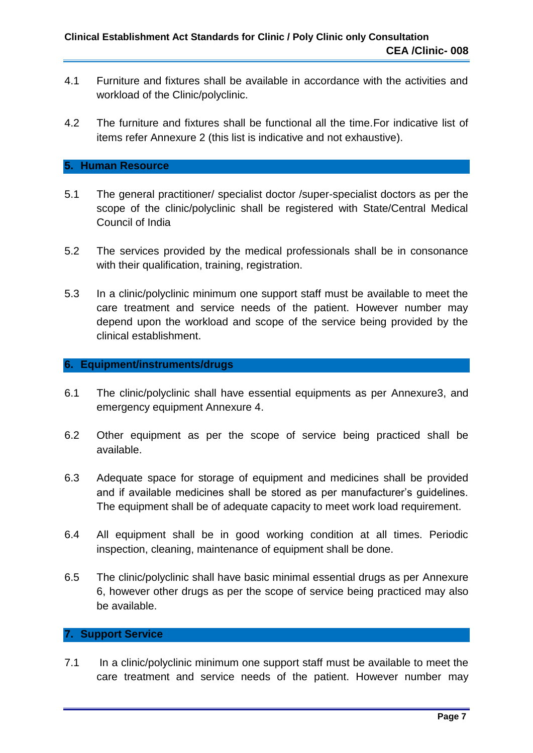- 4.1 Furniture and fixtures shall be available in accordance with the activities and workload of the Clinic/polyclinic.
- 4.2 The furniture and fixtures shall be functional all the time.For indicative list of items refer Annexure 2 (this list is indicative and not exhaustive).

#### **5. Human Resource**

- 5.1 The general practitioner/ specialist doctor /super-specialist doctors as per the scope of the clinic/polyclinic shall be registered with State/Central Medical Council of India
- 5.2 The services provided by the medical professionals shall be in consonance with their qualification, training, registration.
- 5.3 In a clinic/polyclinic minimum one support staff must be available to meet the care treatment and service needs of the patient. However number may depend upon the workload and scope of the service being provided by the clinical establishment.

#### **6. Equipment/instruments/drugs**

- 6.1 The clinic/polyclinic shall have essential equipments as per Annexure3, and emergency equipment Annexure 4.
- 6.2 Other equipment as per the scope of service being practiced shall be available.
- 6.3 Adequate space for storage of equipment and medicines shall be provided and if available medicines shall be stored as per manufacturer's guidelines. The equipment shall be of adequate capacity to meet work load requirement.
- 6.4 All equipment shall be in good working condition at all times. Periodic inspection, cleaning, maintenance of equipment shall be done.
- 6.5 The clinic/polyclinic shall have basic minimal essential drugs as per Annexure 6, however other drugs as per the scope of service being practiced may also be available.

#### **7. Support Service**

7.1 In a clinic/polyclinic minimum one support staff must be available to meet the care treatment and service needs of the patient. However number may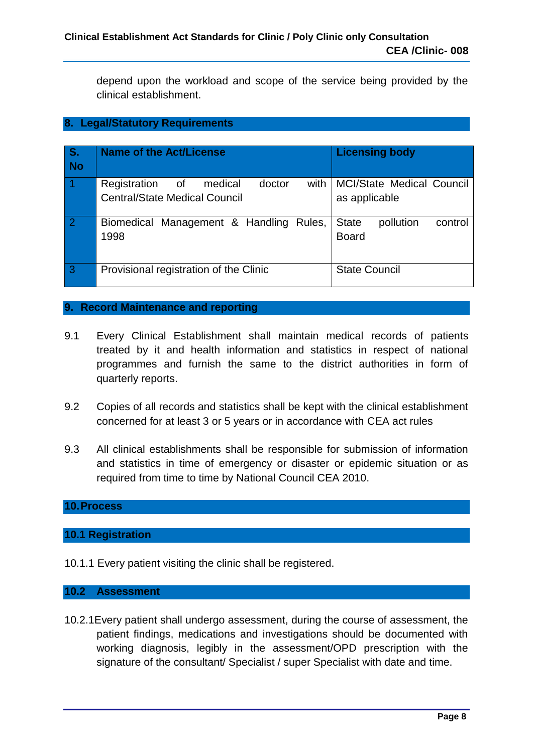depend upon the workload and scope of the service being provided by the clinical establishment.

#### **8. Legal/Statutory Requirements**

| S <sub>r</sub><br><b>No</b> | <b>Name of the Act/License</b>                                                         | <b>Licensing body</b>                                |
|-----------------------------|----------------------------------------------------------------------------------------|------------------------------------------------------|
| -1                          | Registration of<br>doctor<br>with I<br>medical<br><b>Central/State Medical Council</b> | <b>MCI/State Medical Council</b><br>as applicable    |
| $\overline{2}$              | Biomedical Management & Handling Rules,<br>1998                                        | <b>State</b><br>pollution<br>control<br><b>Board</b> |
| 3                           | Provisional registration of the Clinic                                                 | <b>State Council</b>                                 |

#### **9. Record Maintenance and reporting**

- 9.1 Every Clinical Establishment shall maintain medical records of patients treated by it and health information and statistics in respect of national programmes and furnish the same to the district authorities in form of quarterly reports.
- 9.2 Copies of all records and statistics shall be kept with the clinical establishment concerned for at least 3 or 5 years or in accordance with CEA act rules
- 9.3 All clinical establishments shall be responsible for submission of information and statistics in time of emergency or disaster or epidemic situation or as required from time to time by National Council CEA 2010.

#### **10.Process**

#### **10.1 Registration**

10.1.1 Every patient visiting the clinic shall be registered.

#### **10.2 Assessment**

10.2.1Every patient shall undergo assessment, during the course of assessment, the patient findings, medications and investigations should be documented with working diagnosis, legibly in the assessment/OPD prescription with the signature of the consultant/ Specialist / super Specialist with date and time.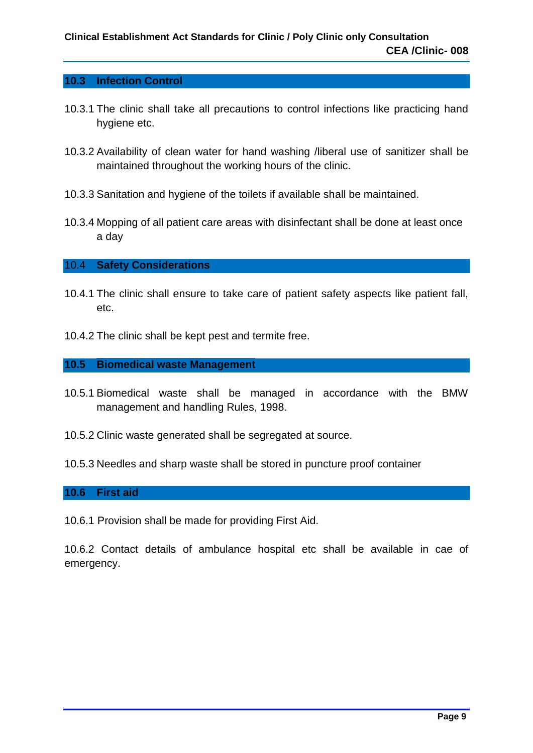#### **10.3 Infection Control**

- 10.3.1 The clinic shall take all precautions to control infections like practicing hand hygiene etc.
- 10.3.2 Availability of clean water for hand washing /liberal use of sanitizer shall be maintained throughout the working hours of the clinic.
- 10.3.3 Sanitation and hygiene of the toilets if available shall be maintained.
- 10.3.4 Mopping of all patient care areas with disinfectant shall be done at least once a day

#### 10.4 **Safety Considerations**

- 10.4.1 The clinic shall ensure to take care of patient safety aspects like patient fall, etc.
- 10.4.2 The clinic shall be kept pest and termite free.

#### **10.5 Biomedical waste Management**

- 10.5.1 Biomedical waste shall be managed in accordance with the BMW management and handling Rules, 1998.
- 10.5.2 Clinic waste generated shall be segregated at source.
- 10.5.3 Needles and sharp waste shall be stored in puncture proof container

#### **10.6 First aid**

10.6.1 Provision shall be made for providing First Aid.

10.6.2 Contact details of ambulance hospital etc shall be available in cae of emergency.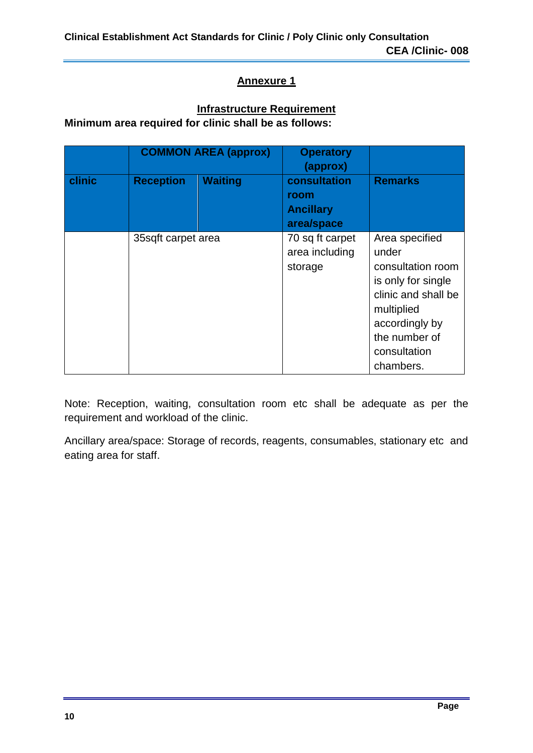#### **Infrastructure Requirement**

**Minimum area required for clinic shall be as follows:**

|        | <b>COMMON AREA (approx)</b> |                | <b>Operatory</b><br>(approx)                           |                                                                                                                                                                         |
|--------|-----------------------------|----------------|--------------------------------------------------------|-------------------------------------------------------------------------------------------------------------------------------------------------------------------------|
| clinic | <b>Reception</b>            | <b>Waiting</b> | consultation<br>room<br><b>Ancillary</b><br>area/space | <b>Remarks</b>                                                                                                                                                          |
|        | 35sqft carpet area          |                | 70 sq ft carpet<br>area including<br>storage           | Area specified<br>under<br>consultation room<br>is only for single<br>clinic and shall be<br>multiplied<br>accordingly by<br>the number of<br>consultation<br>chambers. |

Note: Reception, waiting, consultation room etc shall be adequate as per the requirement and workload of the clinic.

Ancillary area/space: Storage of records, reagents, consumables, stationary etc and eating area for staff.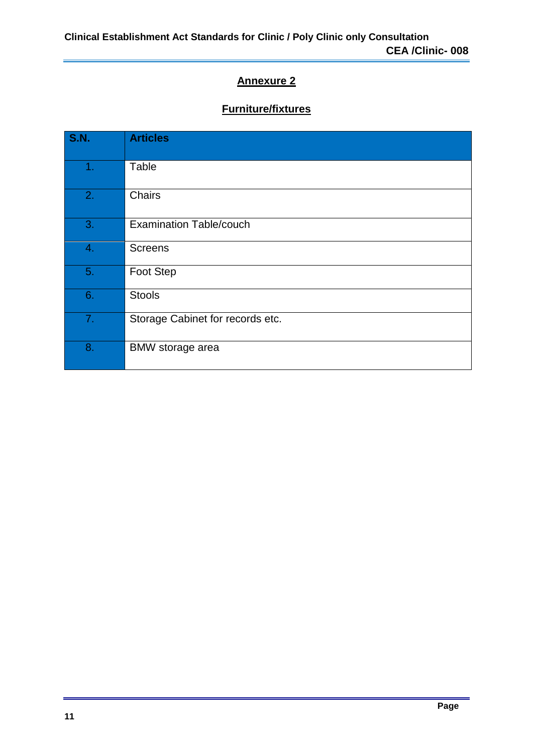## **Furniture/fixtures**

| <b>S.N.</b>    | <b>Articles</b>                  |
|----------------|----------------------------------|
| 1 <sub>1</sub> | Table                            |
| 2.             | Chairs                           |
| 3.             | <b>Examination Table/couch</b>   |
| 4.             | <b>Screens</b>                   |
| 5.             | Foot Step                        |
| 6.             | <b>Stools</b>                    |
| 7.             | Storage Cabinet for records etc. |
| 8.             | <b>BMW</b> storage area          |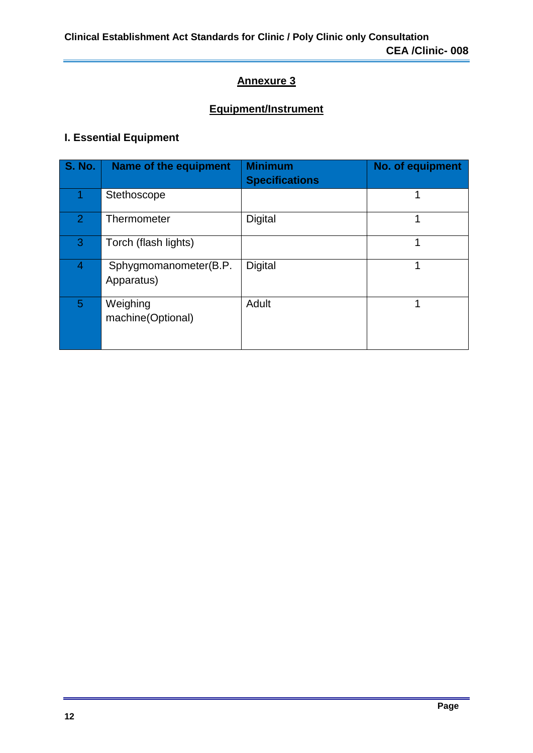## **Equipment/Instrument**

### **I. Essential Equipment**

| <b>S. No.</b>  | Name of the equipment               | <b>Minimum</b><br><b>Specifications</b> | No. of equipment |
|----------------|-------------------------------------|-----------------------------------------|------------------|
|                | Stethoscope                         |                                         |                  |
| $\overline{2}$ | Thermometer                         | <b>Digital</b>                          |                  |
| 3              | Torch (flash lights)                |                                         | 1                |
| 4              | Sphygmomanometer(B.P.<br>Apparatus) | Digital                                 |                  |
| 5              | Weighing<br>machine(Optional)       | Adult                                   |                  |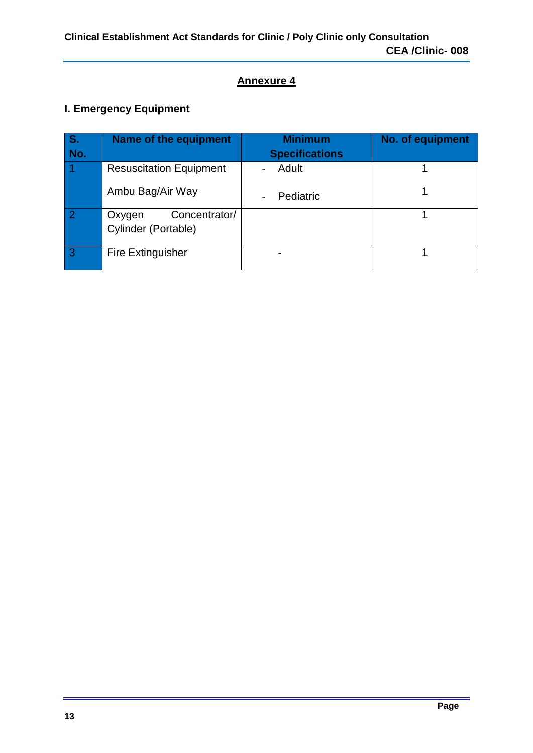## **I. Emergency Equipment**

| IS. | Name of the equipment                          | <b>Minimum</b>        | No. of equipment |
|-----|------------------------------------------------|-----------------------|------------------|
| No. |                                                | <b>Specifications</b> |                  |
|     | <b>Resuscitation Equipment</b>                 | Adult                 |                  |
|     | Ambu Bag/Air Way                               | Pediatric             |                  |
|     | Concentrator/<br>Oxygen<br>Cylinder (Portable) |                       |                  |
| -3  | <b>Fire Extinguisher</b>                       |                       |                  |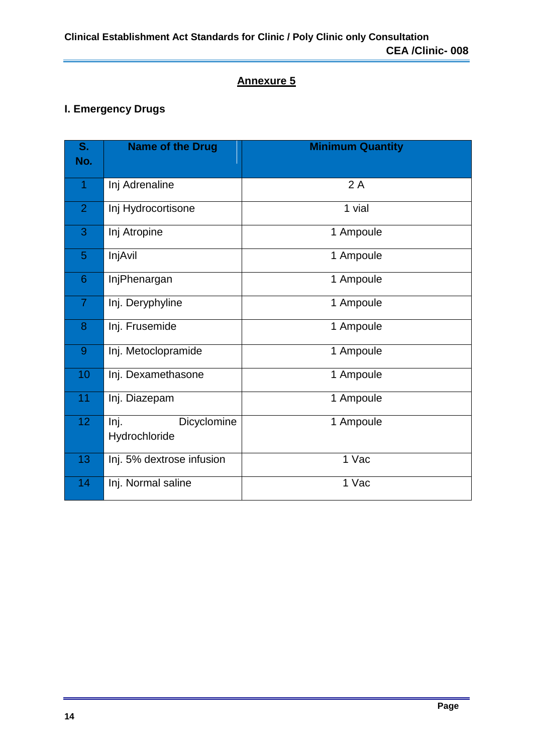### **I. Emergency Drugs**

| S.<br>No.      | <b>Name of the Drug</b>              | <b>Minimum Quantity</b> |
|----------------|--------------------------------------|-------------------------|
| 1              | Inj Adrenaline                       | 2A                      |
| $\overline{2}$ | Inj Hydrocortisone                   | 1 vial                  |
| 3              | Inj Atropine                         | 1 Ampoule               |
| 5              | InjAvil                              | 1 Ampoule               |
| 6              | InjPhenargan                         | 1 Ampoule               |
| $\overline{7}$ | Inj. Deryphyline                     | 1 Ampoule               |
| 8              | Inj. Frusemide                       | 1 Ampoule               |
| $\overline{9}$ | Inj. Metoclopramide                  | 1 Ampoule               |
| 10             | Inj. Dexamethasone                   | 1 Ampoule               |
| 11             | Inj. Diazepam                        | 1 Ampoule               |
| 12             | Inj.<br>Dicyclomine<br>Hydrochloride | 1 Ampoule               |
| 13             | Inj. 5% dextrose infusion            | 1 Vac                   |
| 14             | Inj. Normal saline                   | 1 Vac                   |